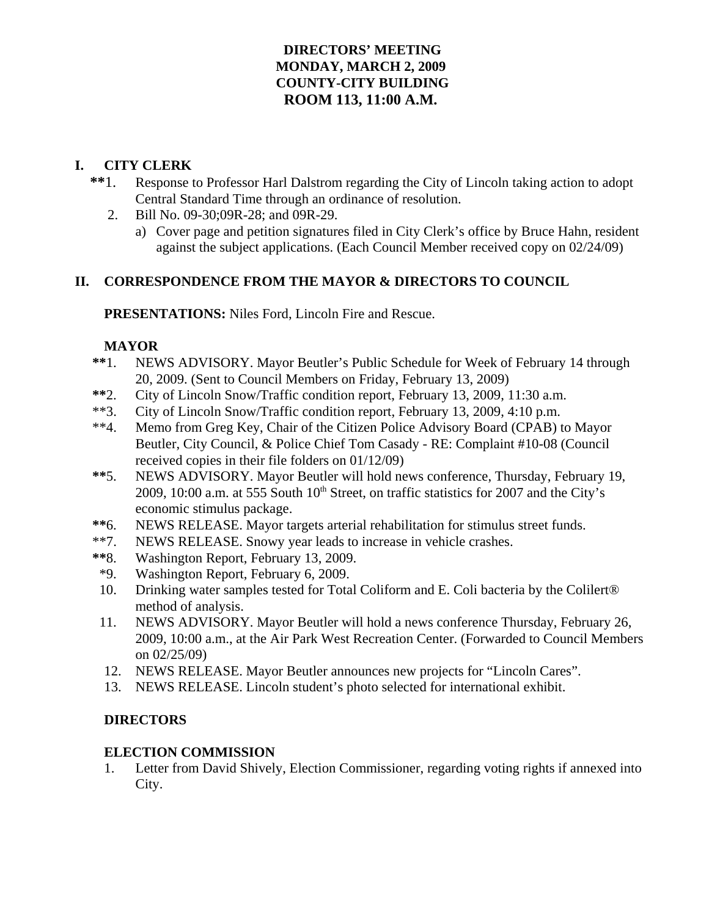# **DIRECTORS' MEETING MONDAY, MARCH 2, 2009 COUNTY-CITY BUILDING ROOM 113, 11:00 A.M.**

## **I. CITY CLERK**

- **\*\***1. Response to Professor Harl Dalstrom regarding the City of Lincoln taking action to adopt Central Standard Time through an ordinance of resolution.
	- 2. Bill No. 09-30;09R-28; and 09R-29.
		- a) Cover page and petition signatures filed in City Clerk's office by Bruce Hahn, resident against the subject applications. (Each Council Member received copy on 02/24/09)

## **II. CORRESPONDENCE FROM THE MAYOR & DIRECTORS TO COUNCIL**

**PRESENTATIONS:** Niles Ford, Lincoln Fire and Rescue.

### **MAYOR**

- **\*\***1. NEWS ADVISORY. Mayor Beutler's Public Schedule for Week of February 14 through 20, 2009. (Sent to Council Members on Friday, February 13, 2009)
- **\*\***2. City of Lincoln Snow/Traffic condition report, February 13, 2009, 11:30 a.m.
- \*\*3. City of Lincoln Snow/Traffic condition report, February 13, 2009, 4:10 p.m.
- \*\*4. Memo from Greg Key, Chair of the Citizen Police Advisory Board (CPAB) to Mayor Beutler, City Council, & Police Chief Tom Casady - RE: Complaint #10-08 (Council received copies in their file folders on 01/12/09)
- **\*\***5. NEWS ADVISORY. Mayor Beutler will hold news conference, Thursday, February 19, 2009, 10:00 a.m. at 555 South  $10<sup>th</sup>$  Street, on traffic statistics for 2007 and the City's economic stimulus package.
- **\*\***6. NEWS RELEASE. Mayor targets arterial rehabilitation for stimulus street funds.
- \*\*7. NEWS RELEASE. Snowy year leads to increase in vehicle crashes.
- **\*\***8. Washington Report, February 13, 2009.
- \*9. Washington Report, February 6, 2009.
- 10. Drinking water samples tested for Total Coliform and E. Coli bacteria by the Colilert® method of analysis.
- 11. NEWS ADVISORY. Mayor Beutler will hold a news conference Thursday, February 26, 2009, 10:00 a.m., at the Air Park West Recreation Center. (Forwarded to Council Members on 02/25/09)
- 12. NEWS RELEASE. Mayor Beutler announces new projects for "Lincoln Cares".
- 13. NEWS RELEASE. Lincoln student's photo selected for international exhibit.

# **DIRECTORS**

# **ELECTION COMMISSION**

1. Letter from David Shively, Election Commissioner, regarding voting rights if annexed into City.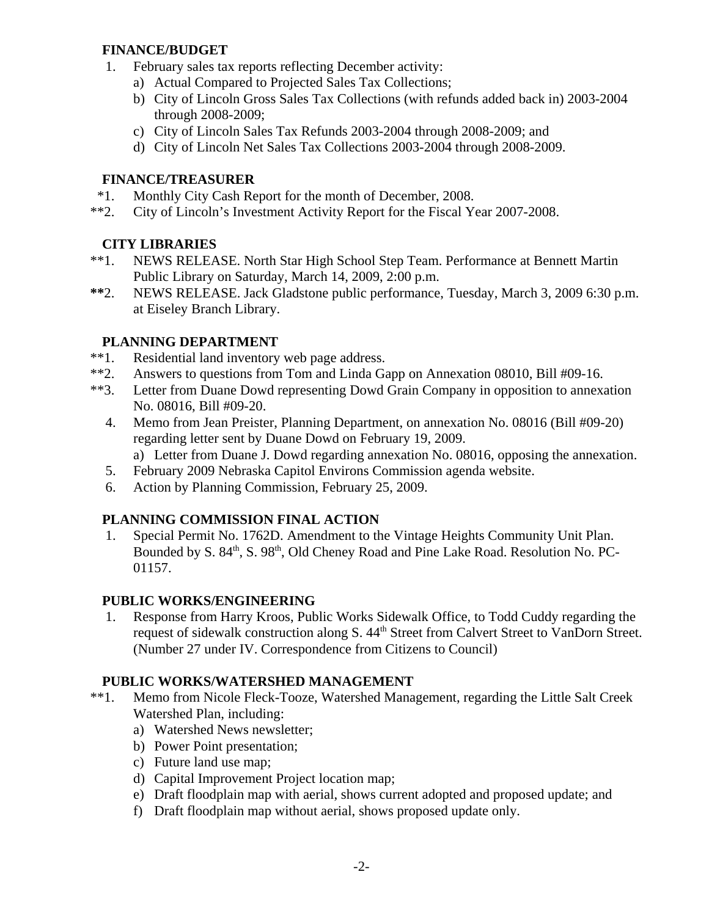### **FINANCE/BUDGET**

- 1. February sales tax reports reflecting December activity:
	- a) Actual Compared to Projected Sales Tax Collections;
	- b) City of Lincoln Gross Sales Tax Collections (with refunds added back in) 2003-2004 through 2008-2009;
	- c) City of Lincoln Sales Tax Refunds 2003-2004 through 2008-2009; and
	- d) City of Lincoln Net Sales Tax Collections 2003-2004 through 2008-2009.

# **FINANCE/TREASURER**

- \*1. Monthly City Cash Report for the month of December, 2008.
- \*\*2. City of Lincoln's Investment Activity Report for the Fiscal Year 2007-2008.

# **CITY LIBRARIES**

- \*\*1. NEWS RELEASE. North Star High School Step Team. Performance at Bennett Martin Public Library on Saturday, March 14, 2009, 2:00 p.m.
- **\*\***2. NEWS RELEASE. Jack Gladstone public performance, Tuesday, March 3, 2009 6:30 p.m. at Eiseley Branch Library.

# **PLANNING DEPARTMENT**

- \*\*1. Residential land inventory web page address.
- \*\*2. Answers to questions from Tom and Linda Gapp on Annexation 08010, Bill #09-16.
- \*\*3. Letter from Duane Dowd representing Dowd Grain Company in opposition to annexation No. 08016, Bill #09-20.
	- 4. Memo from Jean Preister, Planning Department, on annexation No. 08016 (Bill #09-20) regarding letter sent by Duane Dowd on February 19, 2009. a) Letter from Duane J. Dowd regarding annexation No. 08016, opposing the annexation.
	-
	- 5. February 2009 Nebraska Capitol Environs Commission agenda website.
	- 6. Action by Planning Commission, February 25, 2009.

# **PLANNING COMMISSION FINAL ACTION**

 1. Special Permit No. 1762D. Amendment to the Vintage Heights Community Unit Plan. Bounded by S. 84<sup>th</sup>, S. 98<sup>th</sup>, Old Cheney Road and Pine Lake Road. Resolution No. PC-01157.

# **PUBLIC WORKS/ENGINEERING**

 1. Response from Harry Kroos, Public Works Sidewalk Office, to Todd Cuddy regarding the request of sidewalk construction along S. 44<sup>th</sup> Street from Calvert Street to VanDorn Street. (Number 27 under IV. Correspondence from Citizens to Council)

# **PUBLIC WORKS/WATERSHED MANAGEMENT**

- \*\*1. Memo from Nicole Fleck-Tooze, Watershed Management, regarding the Little Salt Creek Watershed Plan, including:
	- a) Watershed News newsletter;
	- b) Power Point presentation;
	- c) Future land use map;
	- d) Capital Improvement Project location map;
	- e) Draft floodplain map with aerial, shows current adopted and proposed update; and
	- f) Draft floodplain map without aerial, shows proposed update only.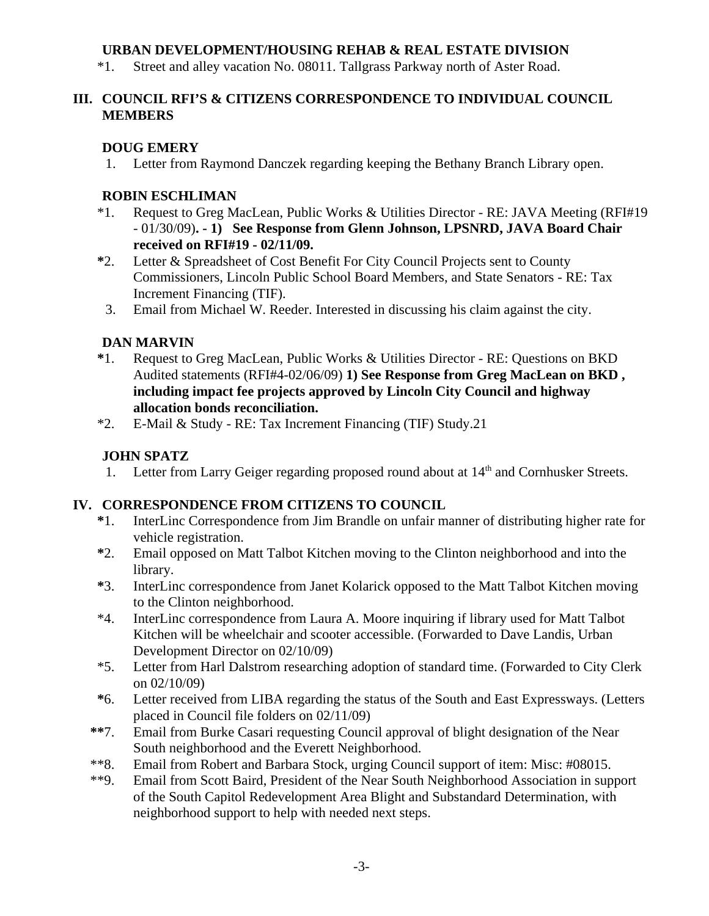## **URBAN DEVELOPMENT/HOUSING REHAB & REAL ESTATE DIVISION**

\*1. Street and alley vacation No. 08011. Tallgrass Parkway north of Aster Road.

## **III. COUNCIL RFI'S & CITIZENS CORRESPONDENCE TO INDIVIDUAL COUNCIL MEMBERS**

# **DOUG EMERY**

1. Letter from Raymond Danczek regarding keeping the Bethany Branch Library open.

## **ROBIN ESCHLIMAN**

- \*1. Request to Greg MacLean, Public Works & Utilities Director RE: JAVA Meeting (RFI#19 - 01/30/09)**. - 1) See Response from Glenn Johnson, LPSNRD, JAVA Board Chair received on RFI#19 - 02/11/09.**
- **\***2. Letter & Spreadsheet of Cost Benefit For City Council Projects sent to County Commissioners, Lincoln Public School Board Members, and State Senators - RE: Tax Increment Financing (TIF).
- 3. Email from Michael W. Reeder. Interested in discussing his claim against the city.

# **DAN MARVIN**

- **\***1. Request to Greg MacLean, Public Works & Utilities Director RE: Questions on BKD Audited statements (RFI#4-02/06/09) **1) See Response from Greg MacLean on BKD , including impact fee projects approved by Lincoln City Council and highway allocation bonds reconciliation.**
- \*2. E-Mail & Study RE: Tax Increment Financing (TIF) Study.21

# **JOHN SPATZ**

1. Letter from Larry Geiger regarding proposed round about at  $14<sup>th</sup>$  and Cornhusker Streets.

# **IV. CORRESPONDENCE FROM CITIZENS TO COUNCIL**

- **\***1. InterLinc Correspondence from Jim Brandle on unfair manner of distributing higher rate for vehicle registration.
- **\***2. Email opposed on Matt Talbot Kitchen moving to the Clinton neighborhood and into the library.
- **\***3. InterLinc correspondence from Janet Kolarick opposed to the Matt Talbot Kitchen moving to the Clinton neighborhood.
- \*4. InterLinc correspondence from Laura A. Moore inquiring if library used for Matt Talbot Kitchen will be wheelchair and scooter accessible. (Forwarded to Dave Landis, Urban Development Director on 02/10/09)
- \*5. Letter from Harl Dalstrom researching adoption of standard time. (Forwarded to City Clerk on 02/10/09)
- **\***6. Letter received from LIBA regarding the status of the South and East Expressways. (Letters placed in Council file folders on 02/11/09)
- **\*\***7. Email from Burke Casari requesting Council approval of blight designation of the Near South neighborhood and the Everett Neighborhood.
- \*\*8. Email from Robert and Barbara Stock, urging Council support of item: Misc: #08015.
- \*\*9. Email from Scott Baird, President of the Near South Neighborhood Association in support of the South Capitol Redevelopment Area Blight and Substandard Determination, with neighborhood support to help with needed next steps.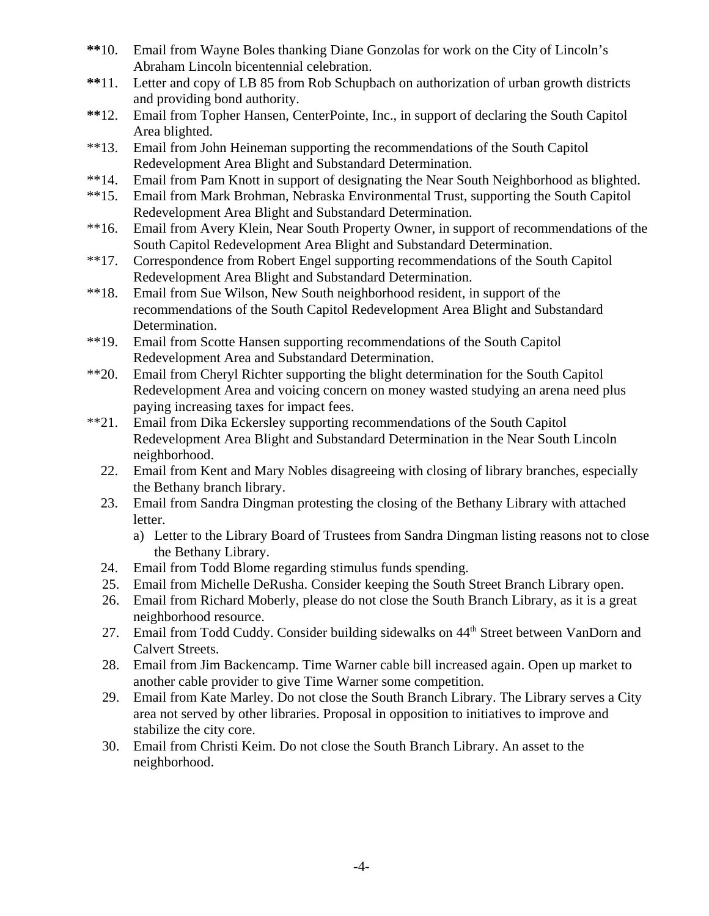- **\*\***10. Email from Wayne Boles thanking Diane Gonzolas for work on the City of Lincoln's Abraham Lincoln bicentennial celebration.
- **\*\***11. Letter and copy of LB 85 from Rob Schupbach on authorization of urban growth districts and providing bond authority.
- **\*\***12. Email from Topher Hansen, CenterPointe, Inc., in support of declaring the South Capitol Area blighted.
- \*\*13. Email from John Heineman supporting the recommendations of the South Capitol Redevelopment Area Blight and Substandard Determination.
- \*\*14. Email from Pam Knott in support of designating the Near South Neighborhood as blighted.
- \*\*15. Email from Mark Brohman, Nebraska Environmental Trust, supporting the South Capitol Redevelopment Area Blight and Substandard Determination.
- \*\*16. Email from Avery Klein, Near South Property Owner, in support of recommendations of the South Capitol Redevelopment Area Blight and Substandard Determination.
- \*\*17. Correspondence from Robert Engel supporting recommendations of the South Capitol Redevelopment Area Blight and Substandard Determination.
- \*\*18. Email from Sue Wilson, New South neighborhood resident, in support of the recommendations of the South Capitol Redevelopment Area Blight and Substandard Determination.
- \*\*19. Email from Scotte Hansen supporting recommendations of the South Capitol Redevelopment Area and Substandard Determination.
- \*\*20. Email from Cheryl Richter supporting the blight determination for the South Capitol Redevelopment Area and voicing concern on money wasted studying an arena need plus paying increasing taxes for impact fees.
- \*\*21. Email from Dika Eckersley supporting recommendations of the South Capitol Redevelopment Area Blight and Substandard Determination in the Near South Lincoln neighborhood.
	- 22. Email from Kent and Mary Nobles disagreeing with closing of library branches, especially the Bethany branch library.
	- 23. Email from Sandra Dingman protesting the closing of the Bethany Library with attached letter.
		- a) Letter to the Library Board of Trustees from Sandra Dingman listing reasons not to close the Bethany Library.
	- 24. Email from Todd Blome regarding stimulus funds spending.
	- 25. Email from Michelle DeRusha. Consider keeping the South Street Branch Library open.
	- 26. Email from Richard Moberly, please do not close the South Branch Library, as it is a great neighborhood resource.
	- 27. Email from Todd Cuddy. Consider building sidewalks on 44<sup>th</sup> Street between VanDorn and Calvert Streets.
	- 28. Email from Jim Backencamp. Time Warner cable bill increased again. Open up market to another cable provider to give Time Warner some competition.
	- 29. Email from Kate Marley. Do not close the South Branch Library. The Library serves a City area not served by other libraries. Proposal in opposition to initiatives to improve and stabilize the city core.
	- 30. Email from Christi Keim. Do not close the South Branch Library. An asset to the neighborhood.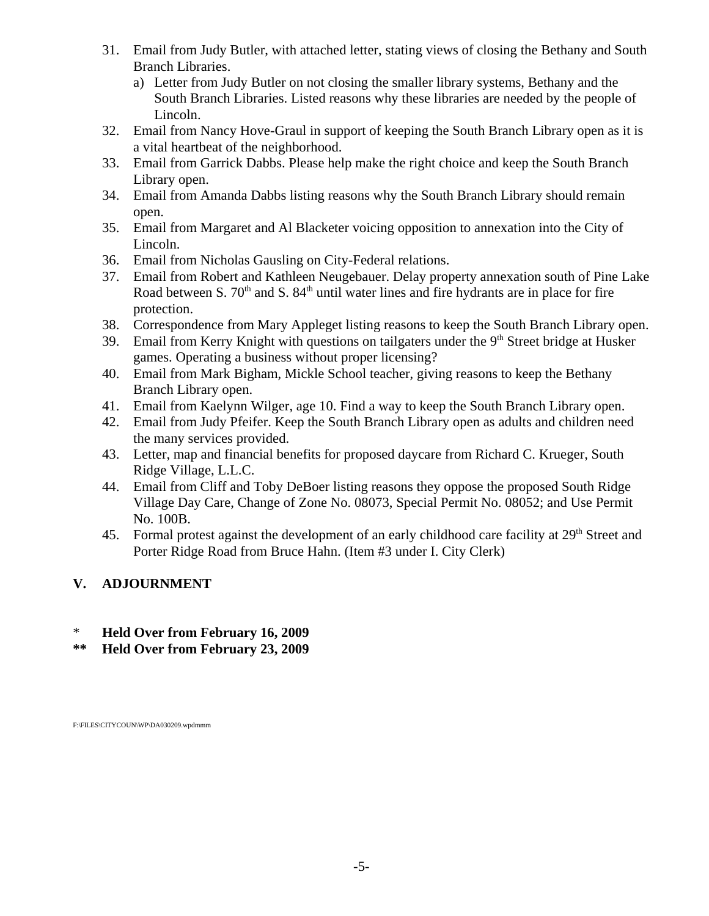- 31. Email from Judy Butler, with attached letter, stating views of closing the Bethany and South Branch Libraries.
	- a) Letter from Judy Butler on not closing the smaller library systems, Bethany and the South Branch Libraries. Listed reasons why these libraries are needed by the people of Lincoln.
- 32. Email from Nancy Hove-Graul in support of keeping the South Branch Library open as it is a vital heartbeat of the neighborhood.
- 33. Email from Garrick Dabbs. Please help make the right choice and keep the South Branch Library open.
- 34. Email from Amanda Dabbs listing reasons why the South Branch Library should remain open.
- 35. Email from Margaret and Al Blacketer voicing opposition to annexation into the City of Lincoln.
- 36. Email from Nicholas Gausling on City-Federal relations.
- 37. Email from Robert and Kathleen Neugebauer. Delay property annexation south of Pine Lake Road between S. 70<sup>th</sup> and S. 84<sup>th</sup> until water lines and fire hydrants are in place for fire protection.
- 38. Correspondence from Mary Appleget listing reasons to keep the South Branch Library open.
- 39. Email from Kerry Knight with questions on tailgaters under the  $9<sup>th</sup>$  Street bridge at Husker games. Operating a business without proper licensing?
- 40. Email from Mark Bigham, Mickle School teacher, giving reasons to keep the Bethany Branch Library open.
- 41. Email from Kaelynn Wilger, age 10. Find a way to keep the South Branch Library open.
- 42. Email from Judy Pfeifer. Keep the South Branch Library open as adults and children need the many services provided.
- 43. Letter, map and financial benefits for proposed daycare from Richard C. Krueger, South Ridge Village, L.L.C.
- 44. Email from Cliff and Toby DeBoer listing reasons they oppose the proposed South Ridge Village Day Care, Change of Zone No. 08073, Special Permit No. 08052; and Use Permit No. 100B.
- 45. Formal protest against the development of an early childhood care facility at 29<sup>th</sup> Street and Porter Ridge Road from Bruce Hahn. (Item #3 under I. City Clerk)

# **V. ADJOURNMENT**

- \* **Held Over from February 16, 2009**
- **\*\* Held Over from February 23, 2009**

F:\FILES\CITYCOUN\WP\DA030209.wpdmmm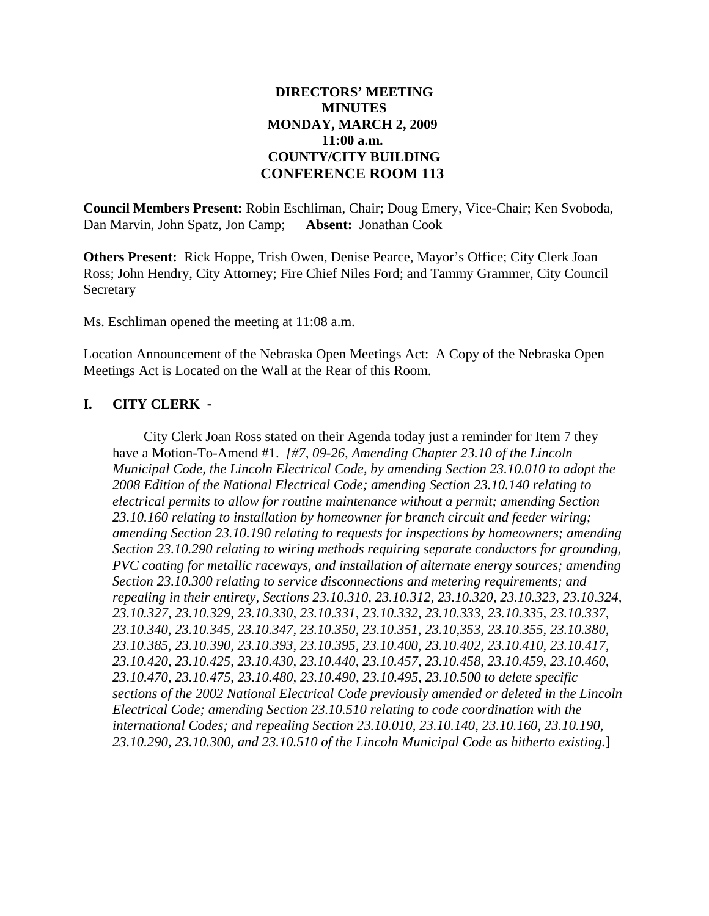### **DIRECTORS' MEETING MINUTES MONDAY, MARCH 2, 2009 11:00 a.m. COUNTY/CITY BUILDING CONFERENCE ROOM 113**

**Council Members Present:** Robin Eschliman, Chair; Doug Emery, Vice-Chair; Ken Svoboda, Dan Marvin, John Spatz, Jon Camp; **Absent:** Jonathan Cook

**Others Present:** Rick Hoppe, Trish Owen, Denise Pearce, Mayor's Office; City Clerk Joan Ross; John Hendry, City Attorney; Fire Chief Niles Ford; and Tammy Grammer, City Council Secretary

Ms. Eschliman opened the meeting at 11:08 a.m.

Location Announcement of the Nebraska Open Meetings Act: A Copy of the Nebraska Open Meetings Act is Located on the Wall at the Rear of this Room.

### **I. CITY CLERK -**

City Clerk Joan Ross stated on their Agenda today just a reminder for Item 7 they have a Motion-To-Amend #1. *[#7, 09-26, Amending Chapter 23.10 of the Lincoln Municipal Code, the Lincoln Electrical Code, by amending Section 23.10.010 to adopt the 2008 Edition of the National Electrical Code; amending Section 23.10.140 relating to electrical permits to allow for routine maintenance without a permit; amending Section 23.10.160 relating to installation by homeowner for branch circuit and feeder wiring; amending Section 23.10.190 relating to requests for inspections by homeowners; amending Section 23.10.290 relating to wiring methods requiring separate conductors for grounding, PVC coating for metallic raceways, and installation of alternate energy sources; amending Section 23.10.300 relating to service disconnections and metering requirements; and repealing in their entirety, Sections 23.10.310, 23.10.312, 23.10.320, 23.10.323, 23.10.324, 23.10.327, 23.10.329, 23.10.330, 23.10.331, 23.10.332, 23.10.333, 23.10.335, 23.10.337, 23.10.340, 23.10.345, 23.10.347, 23.10.350, 23.10.351, 23.10,353, 23.10.355, 23.10.380, 23.10.385, 23.10.390, 23.10.393, 23.10.395, 23.10.400, 23.10.402, 23.10.410, 23.10.417, 23.10.420, 23.10.425, 23.10.430, 23.10.440, 23.10.457, 23.10.458, 23.10.459, 23.10.460, 23.10.470, 23.10.475, 23.10.480, 23.10.490, 23.10.495, 23.10.500 to delete specific sections of the 2002 National Electrical Code previously amended or deleted in the Lincoln Electrical Code; amending Section 23.10.510 relating to code coordination with the international Codes; and repealing Section 23.10.010, 23.10.140, 23.10.160, 23.10.190, 23.10.290, 23.10.300, and 23.10.510 of the Lincoln Municipal Code as hitherto existing.*]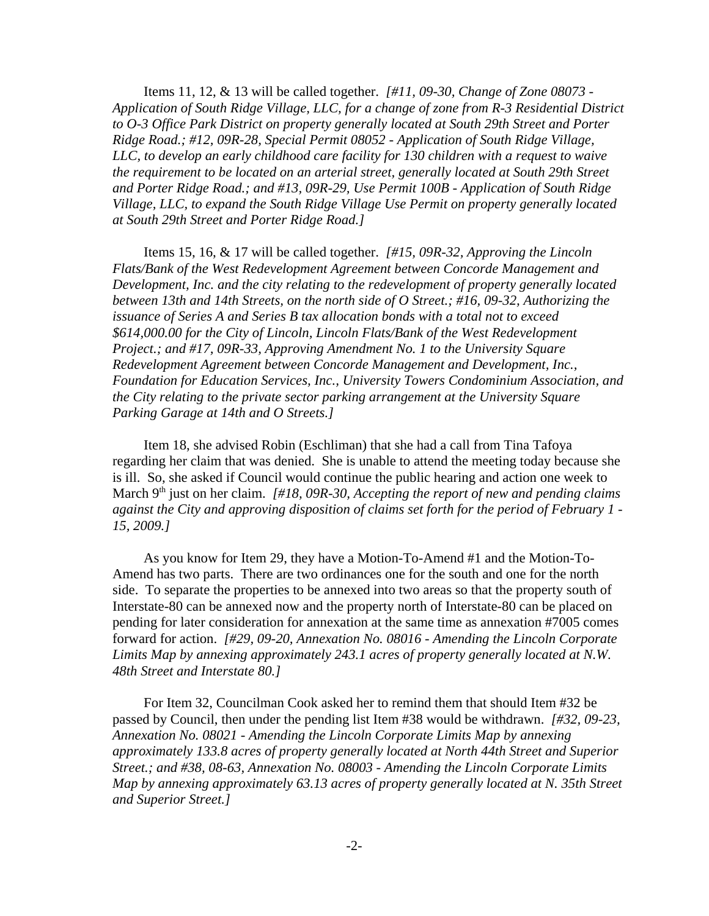Items 11, 12, & 13 will be called together. *[#11, 09-30, Change of Zone 08073 - Application of South Ridge Village, LLC, for a change of zone from R-3 Residential District to O-3 Office Park District on property generally located at South 29th Street and Porter Ridge Road.; #12, 09R-28, Special Permit 08052 - Application of South Ridge Village, LLC, to develop an early childhood care facility for 130 children with a request to waive the requirement to be located on an arterial street, generally located at South 29th Street and Porter Ridge Road.; and #13, 09R-29, Use Permit 100B - Application of South Ridge Village, LLC, to expand the South Ridge Village Use Permit on property generally located at South 29th Street and Porter Ridge Road.]*

Items 15, 16, & 17 will be called together. *[#15, 09R-32, Approving the Lincoln Flats/Bank of the West Redevelopment Agreement between Concorde Management and Development, Inc. and the city relating to the redevelopment of property generally located between 13th and 14th Streets, on the north side of O Street.; #16, 09-32, Authorizing the issuance of Series A and Series B tax allocation bonds with a total not to exceed \$614,000.00 for the City of Lincoln, Lincoln Flats/Bank of the West Redevelopment Project.; and #17, 09R-33, Approving Amendment No. 1 to the University Square Redevelopment Agreement between Concorde Management and Development, Inc., Foundation for Education Services, Inc., University Towers Condominium Association, and the City relating to the private sector parking arrangement at the University Square Parking Garage at 14th and O Streets.]*

Item 18, she advised Robin (Eschliman) that she had a call from Tina Tafoya regarding her claim that was denied. She is unable to attend the meeting today because she is ill. So, she asked if Council would continue the public hearing and action one week to March 9<sup>th</sup> just on her claim. *[#18, 09R-30, Accepting the report of new and pending claims against the City and approving disposition of claims set forth for the period of February 1 - 15, 2009.]*

As you know for Item 29, they have a Motion-To-Amend #1 and the Motion-To-Amend has two parts. There are two ordinances one for the south and one for the north side. To separate the properties to be annexed into two areas so that the property south of Interstate-80 can be annexed now and the property north of Interstate-80 can be placed on pending for later consideration for annexation at the same time as annexation #7005 comes forward for action. *[#29, 09-20, Annexation No. 08016 - Amending the Lincoln Corporate Limits Map by annexing approximately 243.1 acres of property generally located at N.W. 48th Street and Interstate 80.]*

For Item 32, Councilman Cook asked her to remind them that should Item #32 be passed by Council, then under the pending list Item #38 would be withdrawn. *[#32, 09-23, Annexation No. 08021 - Amending the Lincoln Corporate Limits Map by annexing approximately 133.8 acres of property generally located at North 44th Street and Superior Street.; and #38, 08-63, Annexation No. 08003 - Amending the Lincoln Corporate Limits Map by annexing approximately 63.13 acres of property generally located at N. 35th Street and Superior Street.]*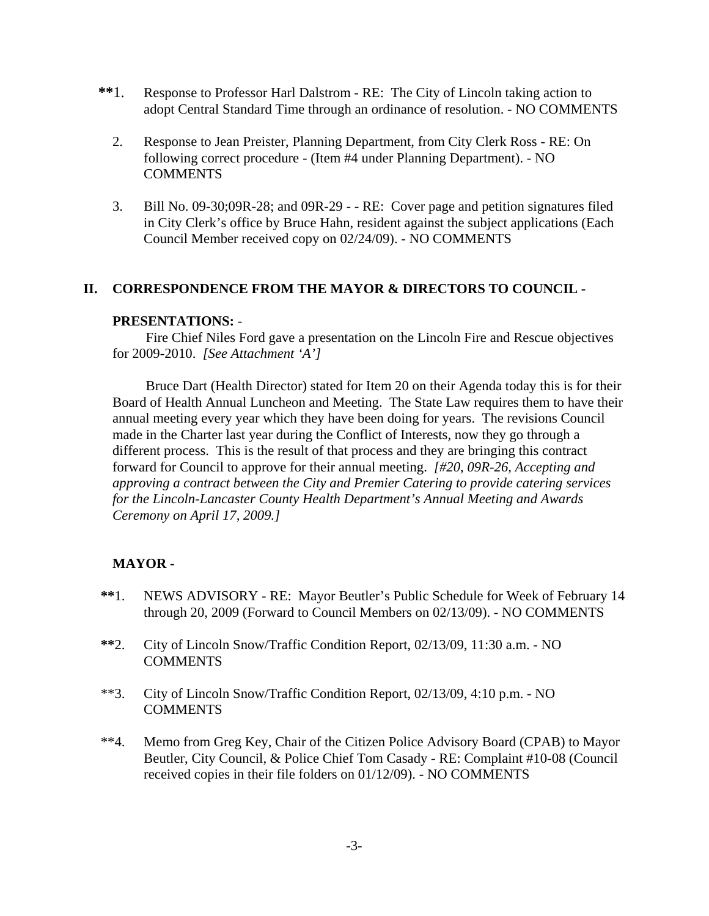- **\*\***1. Response to Professor Harl Dalstrom RE: The City of Lincoln taking action to adopt Central Standard Time through an ordinance of resolution. - NO COMMENTS
	- 2. Response to Jean Preister, Planning Department, from City Clerk Ross RE: On following correct procedure - (Item #4 under Planning Department). - NO COMMENTS
	- 3. Bill No. 09-30;09R-28; and 09R-29 - RE: Cover page and petition signatures filed in City Clerk's office by Bruce Hahn, resident against the subject applications (Each Council Member received copy on 02/24/09). - NO COMMENTS

### **II. CORRESPONDENCE FROM THE MAYOR & DIRECTORS TO COUNCIL -**

#### **PRESENTATIONS:** -

Fire Chief Niles Ford gave a presentation on the Lincoln Fire and Rescue objectives for 2009-2010. *[See Attachment 'A']* 

Bruce Dart (Health Director) stated for Item 20 on their Agenda today this is for their Board of Health Annual Luncheon and Meeting. The State Law requires them to have their annual meeting every year which they have been doing for years. The revisions Council made in the Charter last year during the Conflict of Interests, now they go through a different process. This is the result of that process and they are bringing this contract forward for Council to approve for their annual meeting. *[#20, 09R-26, Accepting and approving a contract between the City and Premier Catering to provide catering services for the Lincoln-Lancaster County Health Department's Annual Meeting and Awards Ceremony on April 17, 2009.]*

### **MAYOR -**

- **\*\***1. NEWS ADVISORY RE: Mayor Beutler's Public Schedule for Week of February 14 through 20, 2009 (Forward to Council Members on 02/13/09). - NO COMMENTS
- **\*\***2. City of Lincoln Snow/Traffic Condition Report, 02/13/09, 11:30 a.m. NO **COMMENTS**
- \*\*3. City of Lincoln Snow/Traffic Condition Report, 02/13/09, 4:10 p.m. NO COMMENTS
- \*\*4. Memo from Greg Key, Chair of the Citizen Police Advisory Board (CPAB) to Mayor Beutler, City Council, & Police Chief Tom Casady - RE: Complaint #10-08 (Council received copies in their file folders on 01/12/09). - NO COMMENTS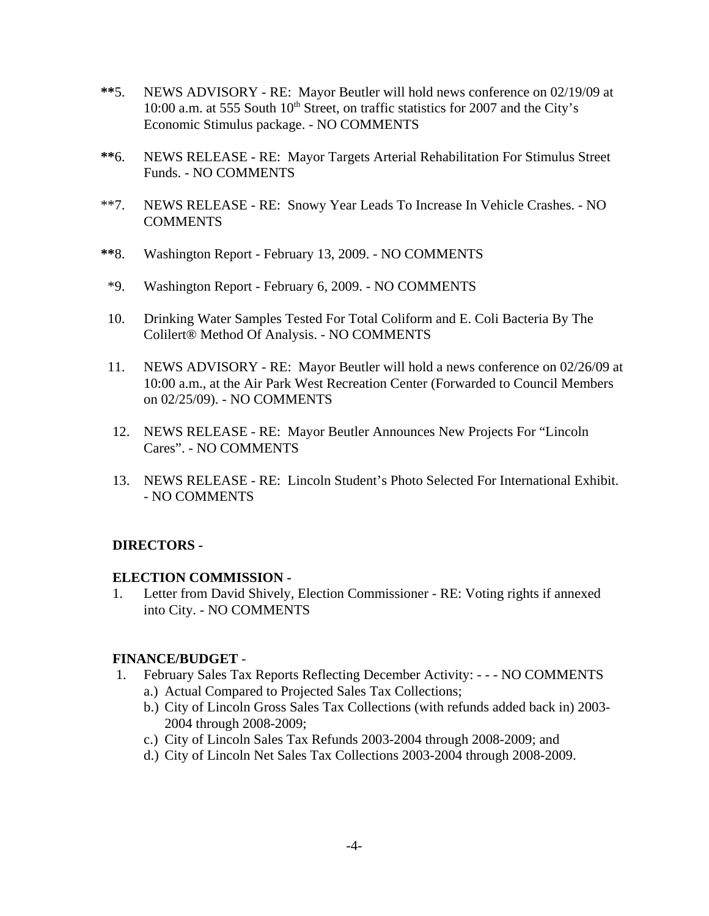- **\*\***5. NEWS ADVISORY RE: Mayor Beutler will hold news conference on 02/19/09 at 10:00 a.m. at 555 South  $10<sup>th</sup>$  Street, on traffic statistics for 2007 and the City's Economic Stimulus package. - NO COMMENTS
- **\*\***6. NEWS RELEASE RE: Mayor Targets Arterial Rehabilitation For Stimulus Street Funds. - NO COMMENTS
- \*\*7. NEWS RELEASE RE: Snowy Year Leads To Increase In Vehicle Crashes. NO **COMMENTS**
- **\*\***8. Washington Report February 13, 2009. NO COMMENTS
- \*9. Washington Report February 6, 2009. NO COMMENTS
- 10. Drinking Water Samples Tested For Total Coliform and E. Coli Bacteria By The Colilert® Method Of Analysis. - NO COMMENTS
- 11. NEWS ADVISORY RE: Mayor Beutler will hold a news conference on 02/26/09 at 10:00 a.m., at the Air Park West Recreation Center (Forwarded to Council Members on 02/25/09). - NO COMMENTS
- 12. NEWS RELEASE RE: Mayor Beutler Announces New Projects For "Lincoln Cares". - NO COMMENTS
- 13. NEWS RELEASE RE: Lincoln Student's Photo Selected For International Exhibit. - NO COMMENTS

### **DIRECTORS -**

### **ELECTION COMMISSION -**

1. Letter from David Shively, Election Commissioner - RE: Voting rights if annexed into City. - NO COMMENTS

### **FINANCE/BUDGET** -

- 1. February Sales Tax Reports Reflecting December Activity: - NO COMMENTS
	- a.) Actual Compared to Projected Sales Tax Collections;
	- b.) City of Lincoln Gross Sales Tax Collections (with refunds added back in) 2003- 2004 through 2008-2009;
	- c.) City of Lincoln Sales Tax Refunds 2003-2004 through 2008-2009; and
	- d.) City of Lincoln Net Sales Tax Collections 2003-2004 through 2008-2009.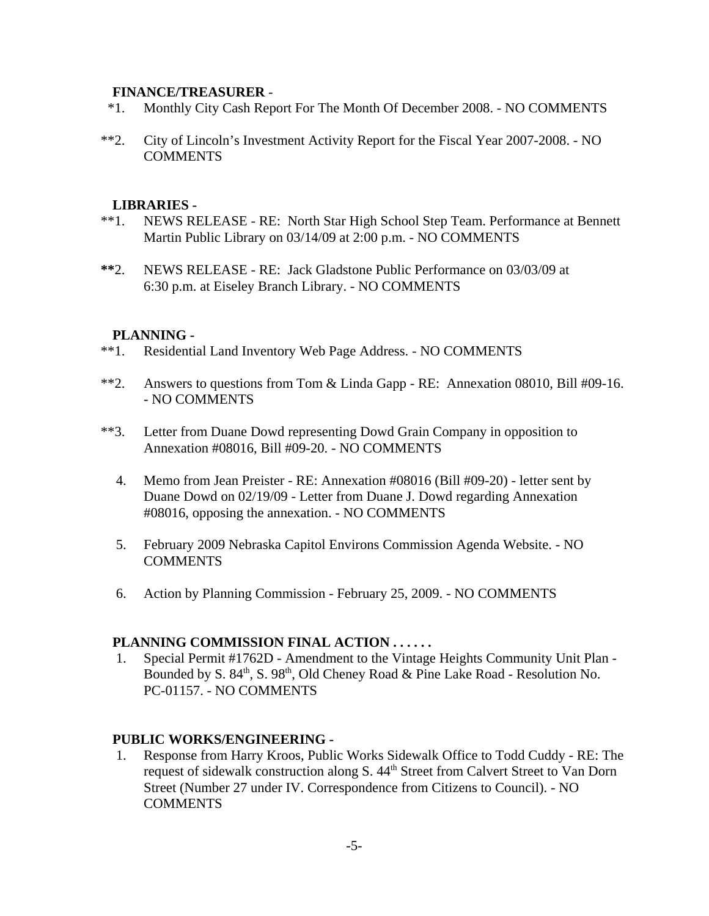### **FINANCE/TREASURER** -

- \*1. Monthly City Cash Report For The Month Of December 2008. NO COMMENTS
- \*\*2. City of Lincoln's Investment Activity Report for the Fiscal Year 2007-2008. NO **COMMENTS**

#### **LIBRARIES -**

- \*\*1. NEWS RELEASE RE: North Star High School Step Team. Performance at Bennett Martin Public Library on 03/14/09 at 2:00 p.m. - NO COMMENTS
- **\*\***2. NEWS RELEASE RE: Jack Gladstone Public Performance on 03/03/09 at 6:30 p.m. at Eiseley Branch Library. - NO COMMENTS

#### **PLANNING -**

- \*\*1. Residential Land Inventory Web Page Address. NO COMMENTS
- \*\*2. Answers to questions from Tom & Linda Gapp RE: Annexation 08010, Bill #09-16. - NO COMMENTS
- \*\*3. Letter from Duane Dowd representing Dowd Grain Company in opposition to Annexation #08016, Bill #09-20. - NO COMMENTS
	- 4. Memo from Jean Preister RE: Annexation #08016 (Bill #09-20) letter sent by Duane Dowd on 02/19/09 - Letter from Duane J. Dowd regarding Annexation #08016, opposing the annexation. - NO COMMENTS
	- 5. February 2009 Nebraska Capitol Environs Commission Agenda Website. NO **COMMENTS**
	- 6. Action by Planning Commission February 25, 2009. NO COMMENTS

### **PLANNING COMMISSION FINAL ACTION . . . . . .**

 1. Special Permit #1762D - Amendment to the Vintage Heights Community Unit Plan - Bounded by S.  $84<sup>th</sup>$ , S.  $98<sup>th</sup>$ , Old Cheney Road & Pine Lake Road - Resolution No. PC-01157. - NO COMMENTS

#### **PUBLIC WORKS/ENGINEERING -**

 1. Response from Harry Kroos, Public Works Sidewalk Office to Todd Cuddy - RE: The request of sidewalk construction along S. 44<sup>th</sup> Street from Calvert Street to Van Dorn Street (Number 27 under IV. Correspondence from Citizens to Council). - NO **COMMENTS**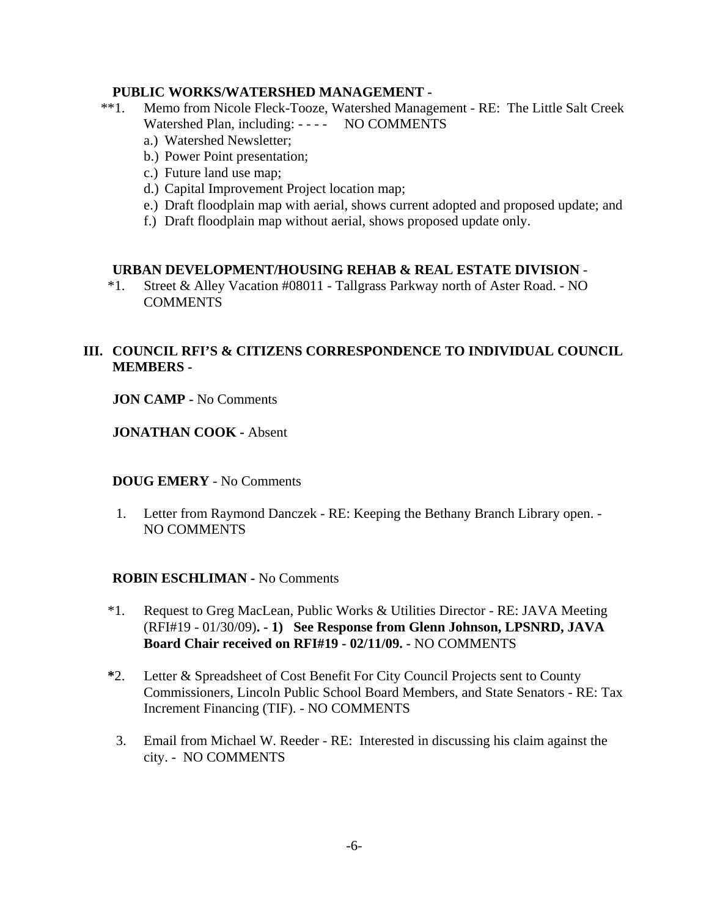### **PUBLIC WORKS/WATERSHED MANAGEMENT -**

- \*\*1. Memo from Nicole Fleck-Tooze, Watershed Management RE: The Little Salt Creek Watershed Plan, including: - - - - NO COMMENTS
	- a.) Watershed Newsletter;
	- b.) Power Point presentation;
	- c.) Future land use map;
	- d.) Capital Improvement Project location map;
	- e.) Draft floodplain map with aerial, shows current adopted and proposed update; and
	- f.) Draft floodplain map without aerial, shows proposed update only.

### **URBAN DEVELOPMENT/HOUSING REHAB & REAL ESTATE DIVISION** -

 \*1. Street & Alley Vacation #08011 - Tallgrass Parkway north of Aster Road. - NO COMMENTS

## **III. COUNCIL RFI'S & CITIZENS CORRESPONDENCE TO INDIVIDUAL COUNCIL MEMBERS -**

**JON CAMP -** No Comments

**JONATHAN COOK -** Absent

### **DOUG EMERY** - No Comments

 1. Letter from Raymond Danczek - RE: Keeping the Bethany Branch Library open. - NO COMMENTS

### **ROBIN ESCHLIMAN -** No Comments

- \*1. Request to Greg MacLean, Public Works & Utilities Director RE: JAVA Meeting (RFI#19 - 01/30/09)**. - 1) See Response from Glenn Johnson, LPSNRD, JAVA Board Chair received on RFI#19 - 02/11/09. -** NO COMMENTS
- **\***2. Letter & Spreadsheet of Cost Benefit For City Council Projects sent to County Commissioners, Lincoln Public School Board Members, and State Senators - RE: Tax Increment Financing (TIF). - NO COMMENTS
- 3. Email from Michael W. Reeder RE: Interested in discussing his claim against the city. - NO COMMENTS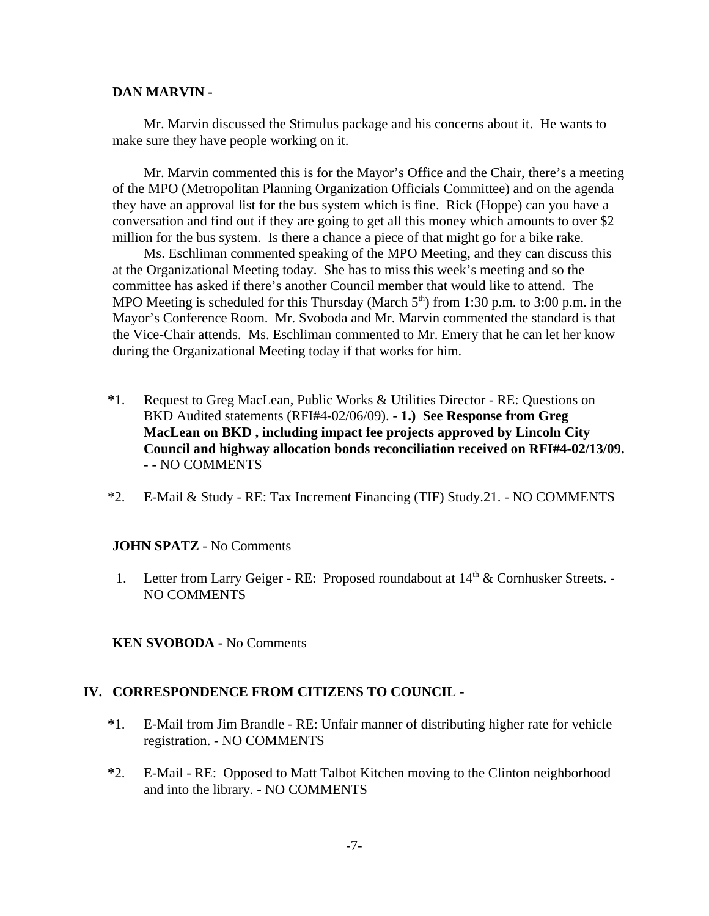### **DAN MARVIN -**

Mr. Marvin discussed the Stimulus package and his concerns about it. He wants to make sure they have people working on it.

Mr. Marvin commented this is for the Mayor's Office and the Chair, there's a meeting of the MPO (Metropolitan Planning Organization Officials Committee) and on the agenda they have an approval list for the bus system which is fine. Rick (Hoppe) can you have a conversation and find out if they are going to get all this money which amounts to over \$2 million for the bus system. Is there a chance a piece of that might go for a bike rake.

Ms. Eschliman commented speaking of the MPO Meeting, and they can discuss this at the Organizational Meeting today. She has to miss this week's meeting and so the committee has asked if there's another Council member that would like to attend. The MPO Meeting is scheduled for this Thursday (March  $5<sup>th</sup>$ ) from 1:30 p.m. to 3:00 p.m. in the Mayor's Conference Room. Mr. Svoboda and Mr. Marvin commented the standard is that the Vice-Chair attends. Ms. Eschliman commented to Mr. Emery that he can let her know during the Organizational Meeting today if that works for him.

- **\***1. Request to Greg MacLean, Public Works & Utilities Director RE: Questions on BKD Audited statements (RFI#4-02/06/09). **- 1.) See Response from Greg MacLean on BKD , including impact fee projects approved by Lincoln City Council and highway allocation bonds reconciliation received on RFI#4-02/13/09. - -** NO COMMENTS
- \*2. E-Mail & Study RE: Tax Increment Financing (TIF) Study.21. NO COMMENTS

### **JOHN SPATZ** - No Comments

- 1. Letter from Larry Geiger RE: Proposed roundabout at  $14<sup>th</sup>$  & Cornhusker Streets. -NO COMMENTS
- **KEN SVOBODA** No Comments

### **IV. CORRESPONDENCE FROM CITIZENS TO COUNCIL -**

- **\***1. E-Mail from Jim Brandle RE: Unfair manner of distributing higher rate for vehicle registration. - NO COMMENTS
- **\***2. E-Mail RE: Opposed to Matt Talbot Kitchen moving to the Clinton neighborhood and into the library. - NO COMMENTS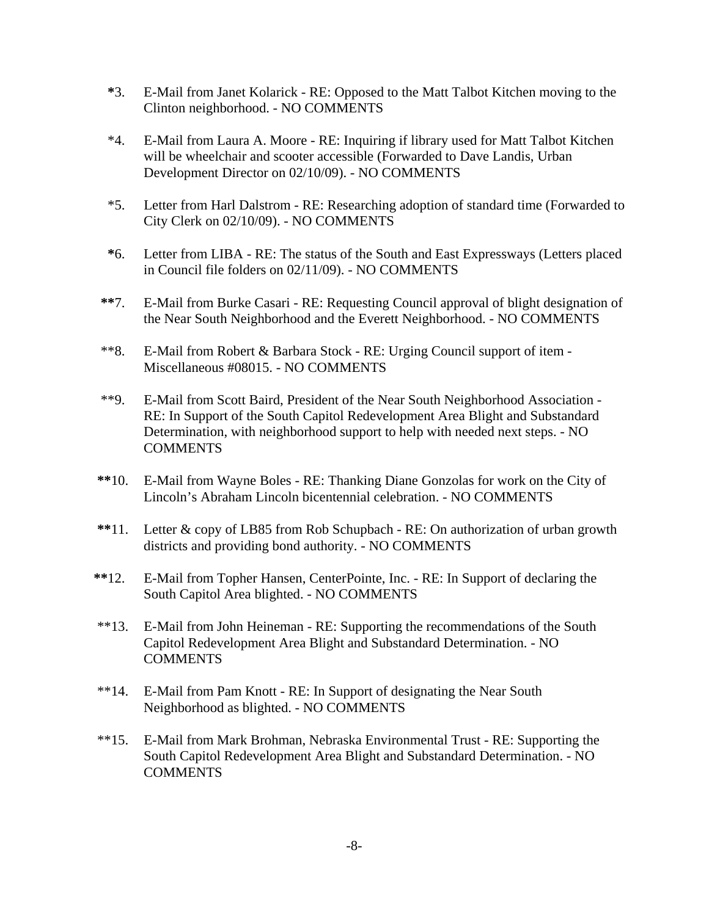- **\***3. E-Mail from Janet Kolarick RE: Opposed to the Matt Talbot Kitchen moving to the Clinton neighborhood. - NO COMMENTS
- \*4. E-Mail from Laura A. Moore RE: Inquiring if library used for Matt Talbot Kitchen will be wheelchair and scooter accessible (Forwarded to Dave Landis, Urban Development Director on 02/10/09). - NO COMMENTS
- \*5. Letter from Harl Dalstrom RE: Researching adoption of standard time (Forwarded to City Clerk on 02/10/09). - NO COMMENTS
- **\***6. Letter from LIBA RE: The status of the South and East Expressways (Letters placed in Council file folders on 02/11/09). - NO COMMENTS
- **\*\***7. E-Mail from Burke Casari RE: Requesting Council approval of blight designation of the Near South Neighborhood and the Everett Neighborhood. - NO COMMENTS
- \*\*8. E-Mail from Robert & Barbara Stock RE: Urging Council support of item Miscellaneous #08015. - NO COMMENTS
- \*\*9. E-Mail from Scott Baird, President of the Near South Neighborhood Association RE: In Support of the South Capitol Redevelopment Area Blight and Substandard Determination, with neighborhood support to help with needed next steps. - NO **COMMENTS**
- **\*\***10. E-Mail from Wayne Boles RE: Thanking Diane Gonzolas for work on the City of Lincoln's Abraham Lincoln bicentennial celebration. - NO COMMENTS
- **\*\***11. Letter & copy of LB85 from Rob Schupbach RE: On authorization of urban growth districts and providing bond authority. - NO COMMENTS
- **\*\***12. E-Mail from Topher Hansen, CenterPointe, Inc. RE: In Support of declaring the South Capitol Area blighted. - NO COMMENTS
- \*\*13. E-Mail from John Heineman RE: Supporting the recommendations of the South Capitol Redevelopment Area Blight and Substandard Determination. - NO **COMMENTS**
- \*\*14. E-Mail from Pam Knott RE: In Support of designating the Near South Neighborhood as blighted. - NO COMMENTS
- \*\*15. E-Mail from Mark Brohman, Nebraska Environmental Trust RE: Supporting the South Capitol Redevelopment Area Blight and Substandard Determination. - NO COMMENTS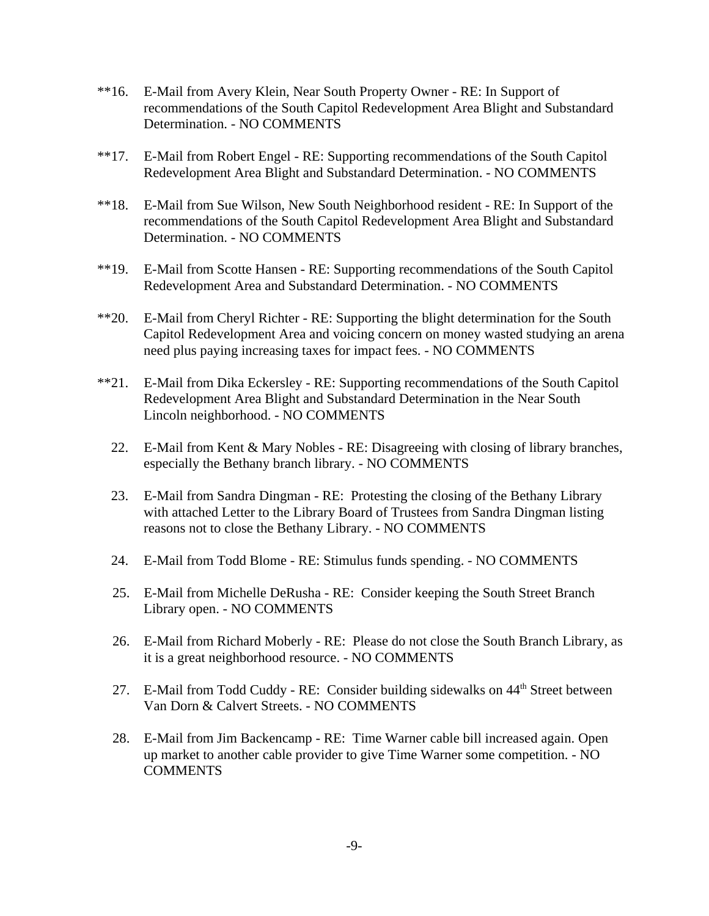- \*\*16. E-Mail from Avery Klein, Near South Property Owner RE: In Support of recommendations of the South Capitol Redevelopment Area Blight and Substandard Determination. - NO COMMENTS
- \*\*17. E-Mail from Robert Engel RE: Supporting recommendations of the South Capitol Redevelopment Area Blight and Substandard Determination. - NO COMMENTS
- \*\*18. E-Mail from Sue Wilson, New South Neighborhood resident RE: In Support of the recommendations of the South Capitol Redevelopment Area Blight and Substandard Determination. - NO COMMENTS
- \*\*19. E-Mail from Scotte Hansen RE: Supporting recommendations of the South Capitol Redevelopment Area and Substandard Determination. - NO COMMENTS
- \*\*20. E-Mail from Cheryl Richter RE: Supporting the blight determination for the South Capitol Redevelopment Area and voicing concern on money wasted studying an arena need plus paying increasing taxes for impact fees. - NO COMMENTS
- \*\*21. E-Mail from Dika Eckersley RE: Supporting recommendations of the South Capitol Redevelopment Area Blight and Substandard Determination in the Near South Lincoln neighborhood. - NO COMMENTS
	- 22. E-Mail from Kent & Mary Nobles RE: Disagreeing with closing of library branches, especially the Bethany branch library. - NO COMMENTS
	- 23. E-Mail from Sandra Dingman RE: Protesting the closing of the Bethany Library with attached Letter to the Library Board of Trustees from Sandra Dingman listing reasons not to close the Bethany Library. - NO COMMENTS
	- 24. E-Mail from Todd Blome RE: Stimulus funds spending. NO COMMENTS
	- 25. E-Mail from Michelle DeRusha RE: Consider keeping the South Street Branch Library open. - NO COMMENTS
	- 26. E-Mail from Richard Moberly RE: Please do not close the South Branch Library, as it is a great neighborhood resource. - NO COMMENTS
	- 27. E-Mail from Todd Cuddy RE: Consider building sidewalks on 44<sup>th</sup> Street between Van Dorn & Calvert Streets. - NO COMMENTS
	- 28. E-Mail from Jim Backencamp RE: Time Warner cable bill increased again. Open up market to another cable provider to give Time Warner some competition. - NO **COMMENTS**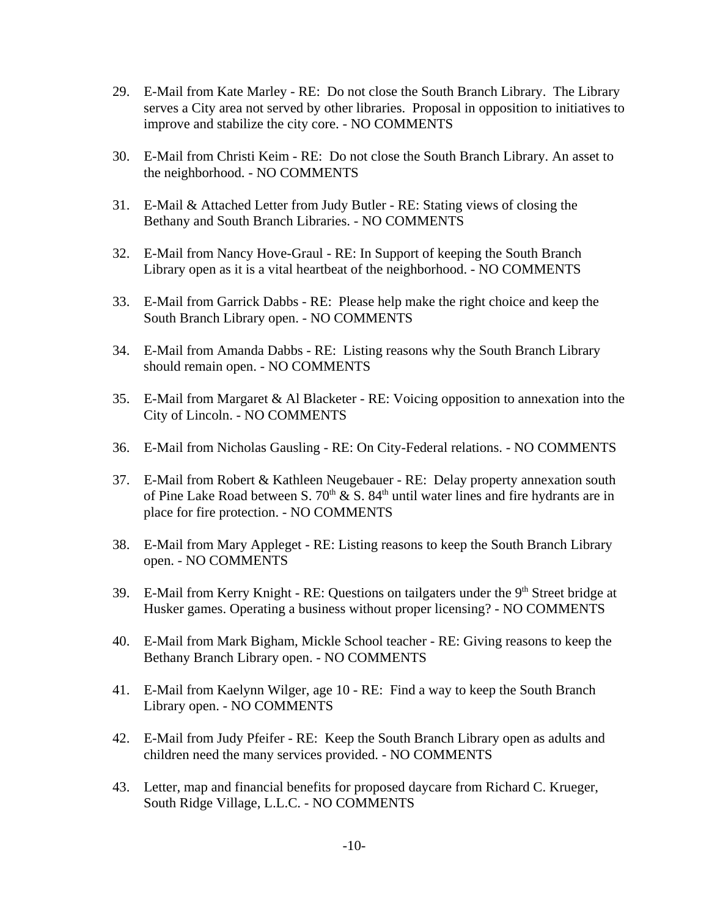- 29. E-Mail from Kate Marley RE: Do not close the South Branch Library. The Library serves a City area not served by other libraries. Proposal in opposition to initiatives to improve and stabilize the city core. - NO COMMENTS
- 30. E-Mail from Christi Keim RE: Do not close the South Branch Library. An asset to the neighborhood. - NO COMMENTS
- 31. E-Mail & Attached Letter from Judy Butler RE: Stating views of closing the Bethany and South Branch Libraries. - NO COMMENTS
- 32. E-Mail from Nancy Hove-Graul RE: In Support of keeping the South Branch Library open as it is a vital heartbeat of the neighborhood. - NO COMMENTS
- 33. E-Mail from Garrick Dabbs RE: Please help make the right choice and keep the South Branch Library open. - NO COMMENTS
- 34. E-Mail from Amanda Dabbs RE: Listing reasons why the South Branch Library should remain open. - NO COMMENTS
- 35. E-Mail from Margaret & Al Blacketer RE: Voicing opposition to annexation into the City of Lincoln. - NO COMMENTS
- 36. E-Mail from Nicholas Gausling RE: On City-Federal relations. NO COMMENTS
- 37. E-Mail from Robert & Kathleen Neugebauer RE: Delay property annexation south of Pine Lake Road between S.  $70<sup>th</sup> \& S. 84<sup>th</sup>$  until water lines and fire hydrants are in place for fire protection. - NO COMMENTS
- 38. E-Mail from Mary Appleget RE: Listing reasons to keep the South Branch Library open. - NO COMMENTS
- 39. E-Mail from Kerry Knight RE: Questions on tailgaters under the  $9<sup>th</sup>$  Street bridge at Husker games. Operating a business without proper licensing? - NO COMMENTS
- 40. E-Mail from Mark Bigham, Mickle School teacher RE: Giving reasons to keep the Bethany Branch Library open. - NO COMMENTS
- 41. E-Mail from Kaelynn Wilger, age 10 RE: Find a way to keep the South Branch Library open. - NO COMMENTS
- 42. E-Mail from Judy Pfeifer RE: Keep the South Branch Library open as adults and children need the many services provided. - NO COMMENTS
- 43. Letter, map and financial benefits for proposed daycare from Richard C. Krueger, South Ridge Village, L.L.C. - NO COMMENTS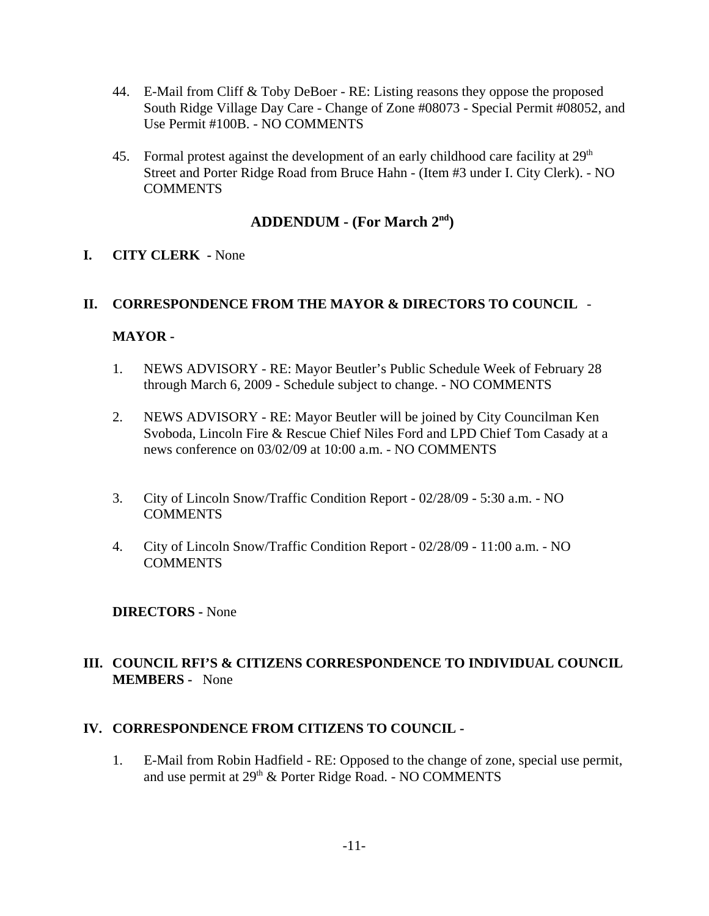- 44. E-Mail from Cliff & Toby DeBoer RE: Listing reasons they oppose the proposed South Ridge Village Day Care - Change of Zone #08073 - Special Permit #08052, and Use Permit #100B. - NO COMMENTS
- 45. Formal protest against the development of an early childhood care facility at  $29<sup>th</sup>$ Street and Porter Ridge Road from Bruce Hahn - (Item #3 under I. City Clerk). - NO **COMMENTS**

# **ADDENDUM - (For March 2nd)**

## **I. CITY CLERK -** None

### **II. CORRESPONDENCE FROM THE MAYOR & DIRECTORS TO COUNCIL** -

### **MAYOR -**

- 1. NEWS ADVISORY RE: Mayor Beutler's Public Schedule Week of February 28 through March 6, 2009 - Schedule subject to change. - NO COMMENTS
- 2. NEWS ADVISORY RE: Mayor Beutler will be joined by City Councilman Ken Svoboda, Lincoln Fire & Rescue Chief Niles Ford and LPD Chief Tom Casady at a news conference on 03/02/09 at 10:00 a.m. - NO COMMENTS
- 3. City of Lincoln Snow/Traffic Condition Report 02/28/09 5:30 a.m. NO **COMMENTS**
- 4. City of Lincoln Snow/Traffic Condition Report 02/28/09 11:00 a.m. NO **COMMENTS**

### **DIRECTORS -** None

## **III. COUNCIL RFI'S & CITIZENS CORRESPONDENCE TO INDIVIDUAL COUNCIL MEMBERS -** None

### **IV. CORRESPONDENCE FROM CITIZENS TO COUNCIL -**

1. E-Mail from Robin Hadfield - RE: Opposed to the change of zone, special use permit, and use permit at 29<sup>th</sup> & Porter Ridge Road. - NO COMMENTS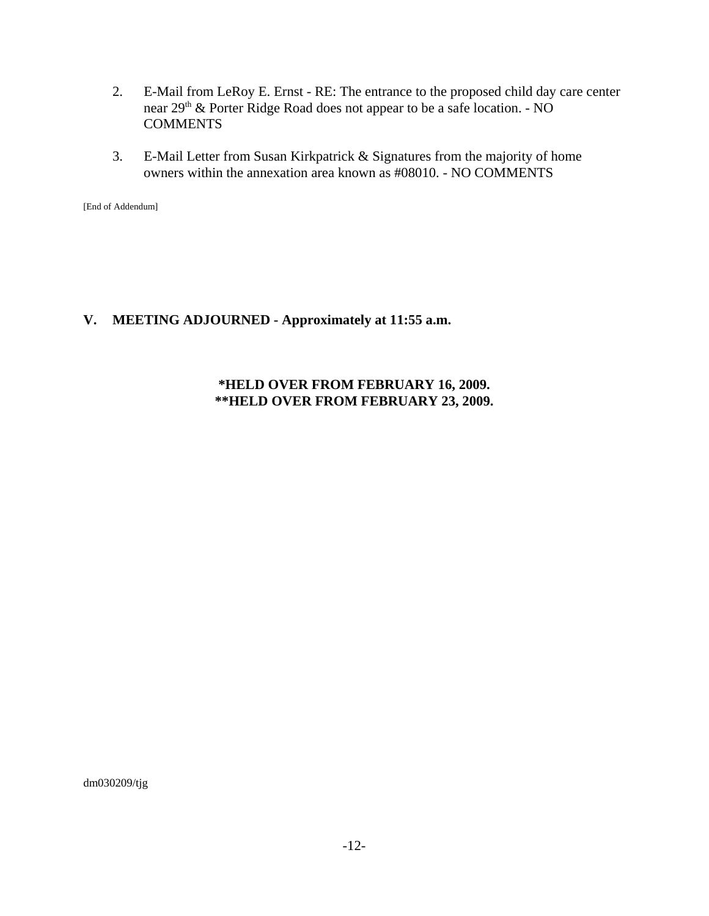- 2. E-Mail from LeRoy E. Ernst RE: The entrance to the proposed child day care center near 29<sup>th</sup> & Porter Ridge Road does not appear to be a safe location. - NO **COMMENTS**
- 3. E-Mail Letter from Susan Kirkpatrick & Signatures from the majority of home owners within the annexation area known as #08010. - NO COMMENTS

[End of Addendum]

# **V. MEETING ADJOURNED - Approximately at 11:55 a.m.**

### **\*HELD OVER FROM FEBRUARY 16, 2009. \*\*HELD OVER FROM FEBRUARY 23, 2009.**

dm030209/tjg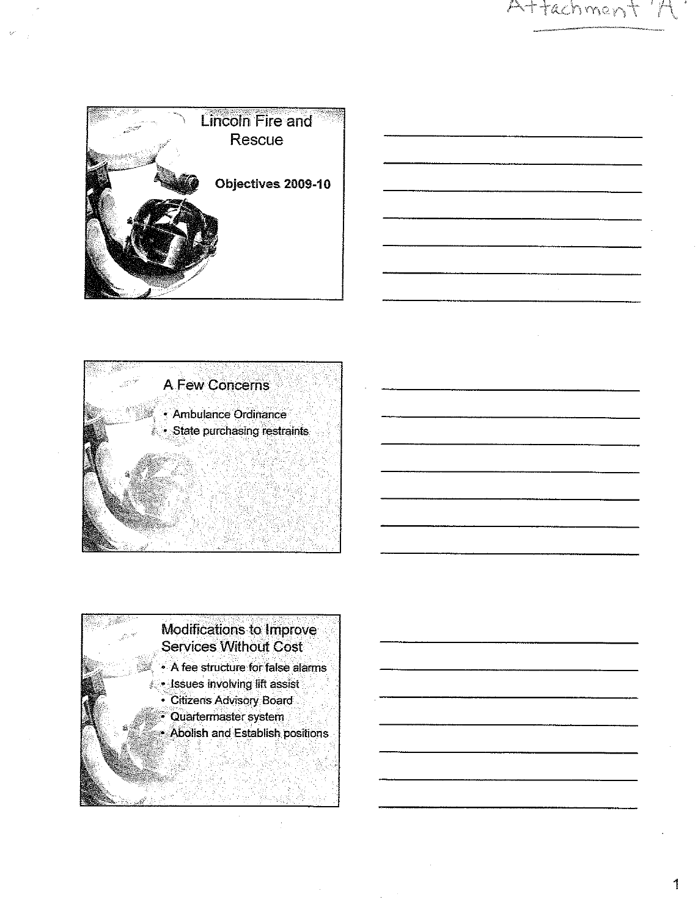







1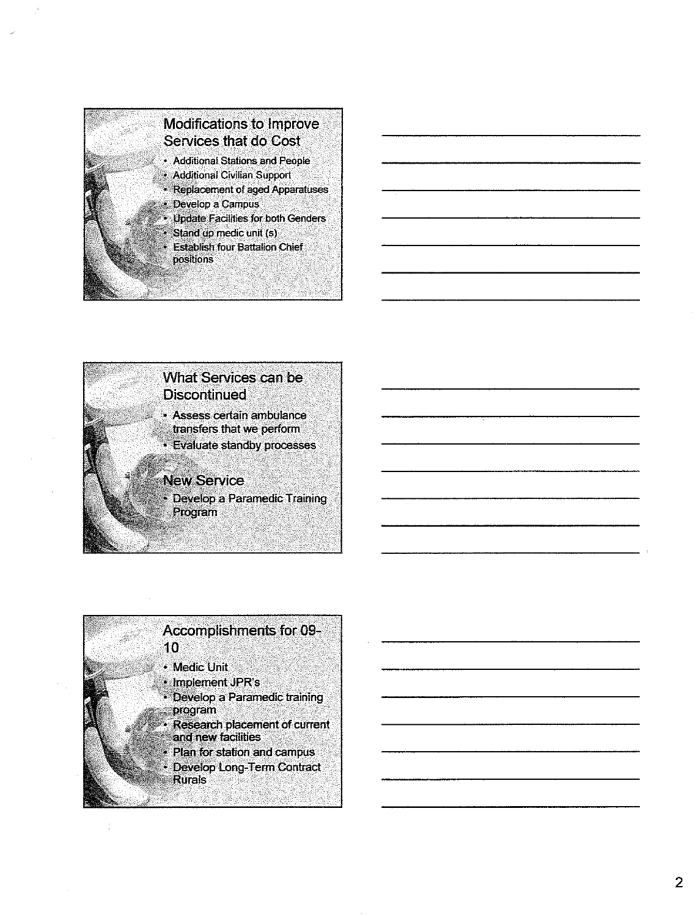



• Evaluate standby processes

#### **New Service**

• Develop a Paramedic Training Program

## Accomplishments for 09- $10<sup>1</sup>$

- Medic Unit
- Implement JPR's
- Develop a Paramedic training program
- Research placement of current and new facilities
- Plan for station and campus
- Develop Long-Term Contract **Rurals**